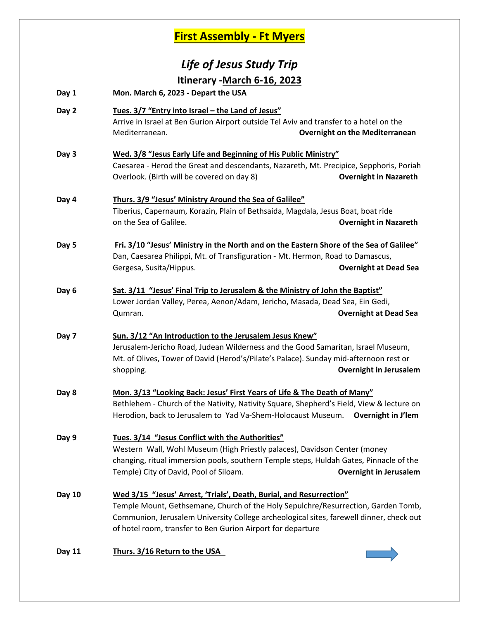## **First Assembly - Ft Myers**

# *Life of Jesus Study Trip* **Itinerary -March 6-16, 2023**

- **Day 1 Mon. March 6, 2023 - Depart the USA**
- **Day 2 Tues. 3/7 "Entry into Israel – the Land of Jesus"** Arrive in Israel at Ben Gurion Airport outside Tel Aviv and transfer to a hotel on the Mediterranean. **Overnight on the Mediterranean**
- **Day 3 Wed. 3/8 "Jesus Early Life and Beginning of His Public Ministry"** Caesarea - Herod the Great and descendants, Nazareth, Mt. Precipice, Sepphoris, Poriah Overlook. (Birth will be covered on day 8) **Overnight in Nazareth**

#### **Day 4 Thurs. 3/9 "Jesus' Ministry Around the Sea of Galilee"** Tiberius, Capernaum, Korazin, Plain of Bethsaida, Magdala, Jesus Boat, boat ride on the Sea of Galilee. **Overnight in Nazareth**

- **Day 5 Fri. 3/10 "Jesus' Ministry in the North and on the Eastern Shore of the Sea of Galilee"** Dan, Caesarea Philippi, Mt. of Transfiguration - Mt. Hermon, Road to Damascus, Gergesa, Susita/Hippus. **Overnight at Dead Sea**
- **Day 6 Sat. 3/11 "Jesus' Final Trip to Jerusalem & the Ministry of John the Baptist"** Lower Jordan Valley, Perea, Aenon/Adam, Jericho, Masada, Dead Sea, Ein Gedi, Qumran. **Overnight at Dead Sea**
- **Day 7 Sun. 3/12 "An Introduction to the Jerusalem Jesus Knew"** Jerusalem-Jericho Road, Judean Wilderness and the Good Samaritan, Israel Museum, Mt. of Olives, Tower of David (Herod's/Pilate's Palace). Sunday mid-afternoon rest or shopping. **Overnight in Jerusalem**
- **Day 8 Mon. 3/13 "Looking Back: Jesus' First Years of Life & The Death of Many"** Bethlehem - Church of the Nativity, Nativity Square, Shepherd's Field, View & lecture on Herodion, back to Jerusalem to Yad Va-Shem-Holocaust Museum. **Overnight in J'lem**
- **Day 9 Tues. 3/14 "Jesus Conflict with the Authorities"** Western Wall, Wohl Museum (High Priestly palaces), Davidson Center (money changing, ritual immersion pools, southern Temple steps, Huldah Gates, Pinnacle of the Temple) City of David, Pool of Siloam. **Overnight in Jerusalem**
- **Day 10 Wed 3/15 "Jesus' Arrest, 'Trials', Death, Burial, and Resurrection"** Temple Mount, Gethsemane, Church of the Holy Sepulchre/Resurrection, Garden Tomb, Communion, Jerusalem University College archeological sites, farewell dinner, check out of hotel room, transfer to Ben Gurion Airport for departure
- **Day 11 Thurs. 3/16 Return to the USA**